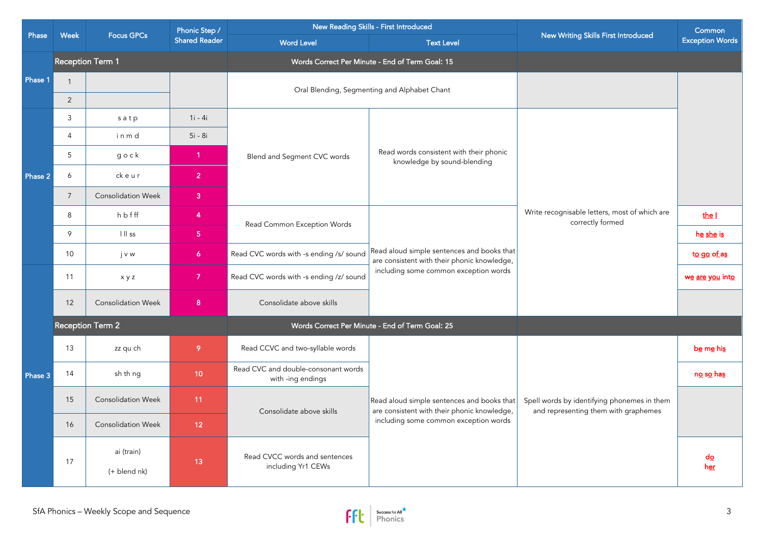|         | Week<br><b>Focus GPCs</b> | Phonic Step /              | New Reading Skills - First Introduced |                                                                                  | New Writing Skills First Introduced                                                                                                | Common                                                                              |                                   |
|---------|---------------------------|----------------------------|---------------------------------------|----------------------------------------------------------------------------------|------------------------------------------------------------------------------------------------------------------------------------|-------------------------------------------------------------------------------------|-----------------------------------|
| Phase   |                           |                            |                                       | <b>Shared Reader</b>                                                             | <b>Word Level</b>                                                                                                                  | <b>Text Level</b>                                                                   |                                   |
|         |                           | <b>Reception Term 1</b>    |                                       | Words Correct Per Minute - End of Term Goal: 15                                  |                                                                                                                                    |                                                                                     |                                   |
| Phase 1 | $\mathbf{1}$              |                            |                                       |                                                                                  | Oral Blending, Segmenting and Alphabet Chant                                                                                       |                                                                                     |                                   |
|         | 2                         |                            |                                       |                                                                                  |                                                                                                                                    |                                                                                     |                                   |
|         | 3                         | satp                       | $1i - 4i$                             |                                                                                  |                                                                                                                                    | Write recognisable letters, most of which are<br>correctly formed                   |                                   |
|         | $\overline{4}$            | inmd                       | 5i - 8i                               |                                                                                  |                                                                                                                                    |                                                                                     |                                   |
|         | 5                         | $g \circ c k$              | $\overline{1}$                        | Blend and Segment CVC words                                                      | Read words consistent with their phonic<br>knowledge by sound-blending                                                             |                                                                                     |                                   |
| Phase 2 | 6                         | ckeur                      | $\overline{2}$                        |                                                                                  |                                                                                                                                    |                                                                                     |                                   |
|         | $\overline{7}$            | <b>Consolidation Week</b>  | 3 <sup>°</sup>                        |                                                                                  |                                                                                                                                    |                                                                                     |                                   |
|         | 8                         | hbfff                      | 4                                     | Read Common Exception Words                                                      | Read aloud simple sentences and books that<br>are consistent with their phonic knowledge,                                          |                                                                                     | the I                             |
|         | 9                         | $\vert \, \vert \vert$ ss  | 5 <sub>1</sub>                        |                                                                                  |                                                                                                                                    |                                                                                     | he she is                         |
|         | 10                        | jvw                        | $\overline{6}$                        | Read CVC words with -s ending /s/ sound                                          |                                                                                                                                    | to go of as                                                                         |                                   |
|         | 11                        | xyz                        | $\overline{7}$                        | including some common exception words<br>Read CVC words with -s ending /z/ sound |                                                                                                                                    | we are you into                                                                     |                                   |
|         | 12                        | <b>Consolidation Week</b>  | 8 <sup>°</sup>                        | Consolidate above skills                                                         |                                                                                                                                    |                                                                                     |                                   |
|         | <b>Reception Term 2</b>   |                            |                                       |                                                                                  | Words Correct Per Minute - End of Term Goal: 25                                                                                    |                                                                                     |                                   |
|         | 13                        | zz qu ch                   | 9                                     | Read CCVC and two-syllable words                                                 |                                                                                                                                    |                                                                                     | be me his                         |
| Phase 3 | 14                        | sh th ng                   | 10 <sub>1</sub>                       | Read CVC and double-consonant words<br>with -ing endings                         | Read aloud simple sentences and books that<br>are consistent with their phonic knowledge,<br>including some common exception words | Spell words by identifying phonemes in them<br>and representing them with graphemes | n <u>o</u> s <u>o</u> ha <u>s</u> |
|         | 15                        | <b>Consolidation Week</b>  | 11                                    | Consolidate above skills                                                         |                                                                                                                                    |                                                                                     |                                   |
|         | 16                        | <b>Consolidation Week</b>  | 12 <sub>2</sub>                       |                                                                                  |                                                                                                                                    |                                                                                     |                                   |
|         | 17                        | ai (train)<br>(+ blend nk) | 13                                    | Read CVCC words and sentences<br>including Yr1 CEWs                              |                                                                                                                                    |                                                                                     | $d_{\Omega}$<br>her               |

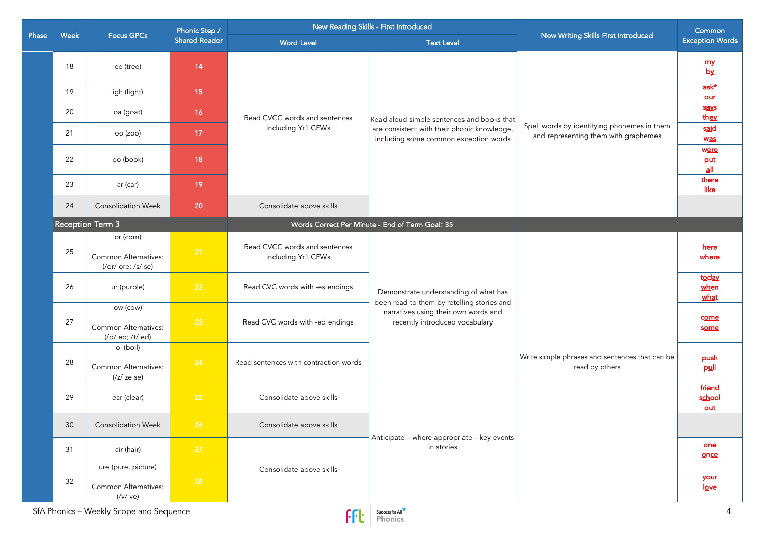|       |      | Focus GPCs                                                | Phonic Step / | New Reading Skills - First Introduced               |                                                                                                                                                               |                                                                                     | Common                                     |
|-------|------|-----------------------------------------------------------|---------------|-----------------------------------------------------|---------------------------------------------------------------------------------------------------------------------------------------------------------------|-------------------------------------------------------------------------------------|--------------------------------------------|
| Phase | Week |                                                           |               | <b>Shared Reader</b>                                | <b>Word Level</b>                                                                                                                                             | <b>Text Level</b>                                                                   | New Writing Skills First Introduced        |
|       | 18   | ee (tree)                                                 | 14            |                                                     | Read aloud simple sentences and books that<br>are consistent with their phonic knowledge,<br>including some common exception words                            |                                                                                     | my<br>by                                   |
|       | 19   | igh (light)                                               | 15            |                                                     |                                                                                                                                                               |                                                                                     | $\overline{a}$ sk*<br>$our$                |
|       | 20   | oa (goat)                                                 | 16            | Read CVCC words and sentences                       |                                                                                                                                                               |                                                                                     | says<br>they                               |
|       | 21   | oo (zoo)                                                  | 17            | including Yr1 CEWs                                  |                                                                                                                                                               | Spell words by identifying phonemes in them<br>and representing them with graphemes | said<br>was                                |
|       | 22   | oo (book)                                                 | 18            |                                                     |                                                                                                                                                               |                                                                                     | were<br>put<br>$\underline{\mathsf{a}}$ ll |
|       | 23   | ar (car)                                                  | 19            |                                                     |                                                                                                                                                               |                                                                                     | there<br>like                              |
|       | 24   | <b>Consolidation Week</b>                                 | 20            | Consolidate above skills                            |                                                                                                                                                               |                                                                                     |                                            |
|       |      | Reception Term 3                                          |               |                                                     | Words Correct Per Minute - End of Term Goal: 35                                                                                                               |                                                                                     |                                            |
|       | 25   | or (corn)<br>Common Alternatives:<br>(/or/ ore; /s/ se)   | 21            | Read CVCC words and sentences<br>including Yr1 CEWs | Demonstrate understanding of what has<br>been read to them by retelling stories and<br>narratives using their own words and<br>recently introduced vocabulary | Write simple phrases and sentences that can be<br>read by others                    | <u>here</u><br>where                       |
|       | 26   | ur (purple)                                               | 22            | Read CVC words with -es endings                     |                                                                                                                                                               |                                                                                     | today<br>when<br>what                      |
|       | 27   | ow (cow)<br>Common Alternatives:<br>(/d/ ed; /t/ ed)      | 23            | Read CVC words with -ed endings                     |                                                                                                                                                               |                                                                                     | come<br>some                               |
|       | 28   | oi (boil)<br>Common Alternatives:<br>$\frac{1}{z}$ ze se) | 24            | Read sentences with contraction words               |                                                                                                                                                               |                                                                                     | push<br>pull                               |
|       | 29   | ear (clear)                                               | 25            | Consolidate above skills                            |                                                                                                                                                               |                                                                                     | friend<br>school<br>$out$                  |
|       | 30   | <b>Consolidation Week</b>                                 | 26            | Consolidate above skills                            | Anticipate - where appropriate - key events<br>in stories                                                                                                     |                                                                                     |                                            |
|       | 31   | air (hair)                                                | 27            |                                                     |                                                                                                                                                               |                                                                                     | one<br>once                                |
|       | 32   | ure (pure, picture)<br>Common Alternatives:               | 28            | Consolidate above skills                            |                                                                                                                                                               |                                                                                     | <u>your</u><br>love                        |
|       |      | (Vv / ve)<br>SfA Phonics - Weekly Scope and Sequence      |               | FFE                                                 | Success for All<br>Phonics                                                                                                                                    |                                                                                     | $\overline{4}$                             |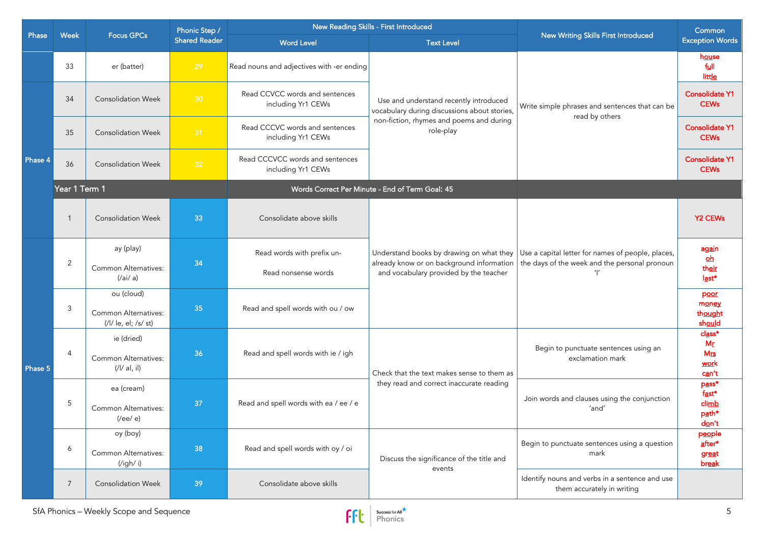| Phase   |               | <b>Focus GPCs</b>                                              | Phonic Step /        |                                                       | New Reading Skills - First Introduced                                                                                                                                                                                     | New Writing Skills First Introduced                                                                | Common                                             |
|---------|---------------|----------------------------------------------------------------|----------------------|-------------------------------------------------------|---------------------------------------------------------------------------------------------------------------------------------------------------------------------------------------------------------------------------|----------------------------------------------------------------------------------------------------|----------------------------------------------------|
|         | Week          |                                                                | <b>Shared Reader</b> | <b>Word Level</b>                                     | <b>Text Level</b>                                                                                                                                                                                                         |                                                                                                    | <b>Exception Words</b>                             |
|         | 33            | er (batter)                                                    | 29                   | Read nouns and adjectives with -er ending             |                                                                                                                                                                                                                           | Write simple phrases and sentences that can be<br>read by others                                   | house<br>full<br>little                            |
|         | 34            | <b>Consolidation Week</b>                                      | 30                   | Read CCVCC words and sentences<br>including Yr1 CEWs  | Use and understand recently introduced<br>vocabulary during discussions about stories,<br>non-fiction, rhymes and poems and during<br>role-play                                                                           |                                                                                                    | <b>Consolidate Y1</b><br><b>CEWs</b>               |
|         | 35            | <b>Consolidation Week</b>                                      | 31                   | Read CCCVC words and sentences<br>including Yr1 CEWs  |                                                                                                                                                                                                                           |                                                                                                    | <b>Consolidate Y1</b><br><b>CEWs</b>               |
| Phase 4 | 36            | <b>Consolidation Week</b>                                      | 32                   | Read CCCVCC words and sentences<br>including Yr1 CEWs |                                                                                                                                                                                                                           |                                                                                                    | <b>Consolidate Y1</b><br><b>CEWs</b>               |
|         | Year 1 Term 1 |                                                                |                      |                                                       | Words Correct Per Minute - End of Term Goal: 45                                                                                                                                                                           |                                                                                                    |                                                    |
|         | $\mathbf{1}$  | <b>Consolidation Week</b>                                      | 33                   | Consolidate above skills                              |                                                                                                                                                                                                                           |                                                                                                    | <b>Y2 CEWs</b>                                     |
|         | 2             | ay (play)                                                      | 34                   | Read words with prefix un-                            | Understand books by drawing on what they<br>already know or on background information<br>and vocabulary provided by the teacher<br>Check that the text makes sense to them as<br>they read and correct inaccurate reading | Use a capital letter for names of people, places,<br>the days of the week and the personal pronoun | again<br>$\mathbf{h}$                              |
|         |               | Common Alternatives:<br>$(\frac{a}{a})$                        |                      | Read nonsense words                                   |                                                                                                                                                                                                                           |                                                                                                    | their<br>last*                                     |
|         | 3             | ou (cloud)<br>Common Alternatives:<br>(/l/ le, el; /s/ st)     | 35                   | Read and spell words with ou / ow                     |                                                                                                                                                                                                                           |                                                                                                    | poor<br>money<br>thought<br>should                 |
| Phase 5 | 4             | ie (dried)<br>Common Alternatives:<br>(1/  a , i )             | 36                   | Read and spell words with ie / igh                    |                                                                                                                                                                                                                           | Begin to punctuate sentences using an<br>exclamation mark                                          | $class*$<br>Mr<br>$M_{\text{IS}}$<br>work<br>can't |
|         | 5             | ea (cream)<br><b>Common Alternatives:</b><br>$($ /ee $/$ e $)$ | 37                   | Read and spell words with ea / ee / e                 |                                                                                                                                                                                                                           | Join words and clauses using the conjunction<br>'and'                                              | pass*<br>fast*<br>climb<br>path*<br>don't          |
|         | 6             | oy (boy)<br>Common Alternatives:<br>('igh' i)                  | 38                   | Read and spell words with oy / oi                     | Discuss the significance of the title and                                                                                                                                                                                 | Begin to punctuate sentences using a question<br>mark                                              | people<br>after*<br>great<br>break                 |
|         | 7             | <b>Consolidation Week</b>                                      | 39                   | Consolidate above skills                              | events                                                                                                                                                                                                                    | Identify nouns and verbs in a sentence and use<br>them accurately in writing                       |                                                    |

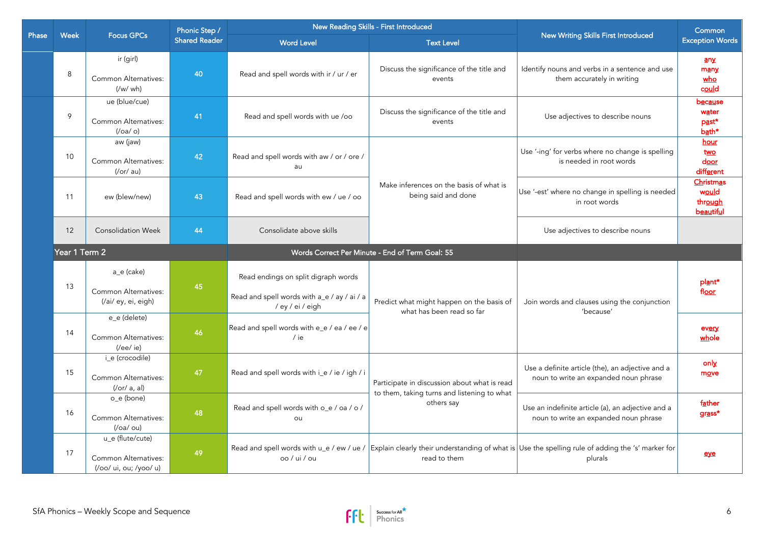|       |               | <b>Focus GPCs</b>                                                  | Phonic Step / | New Reading Skills - First Introduced                                                                  |                                                                                             |                                                                                                                                                        | Common                                       |                                     |
|-------|---------------|--------------------------------------------------------------------|---------------|--------------------------------------------------------------------------------------------------------|---------------------------------------------------------------------------------------------|--------------------------------------------------------------------------------------------------------------------------------------------------------|----------------------------------------------|-------------------------------------|
| Phase | <b>Week</b>   |                                                                    |               |                                                                                                        | <b>Shared Reader</b>                                                                        | <b>Word Level</b>                                                                                                                                      | <b>Text Level</b>                            | New Writing Skills First Introduced |
|       | 8             | ir (girl)<br><b>Common Alternatives:</b><br>(Vw/wh)                | 40            | Read and spell words with ir / ur / er                                                                 | Discuss the significance of the title and<br>events                                         | Identify nouns and verbs in a sentence and use<br>them accurately in writing                                                                           | an x<br>many<br>who<br>could                 |                                     |
|       | 9             | ue (blue/cue)<br>Common Alternatives:<br>$($ /oa/o $)$             | 41            | Read and spell words with ue /oo                                                                       | Discuss the significance of the title and<br>events                                         | Use adjectives to describe nouns                                                                                                                       | <b>because</b><br>water<br>past*<br>bath*    |                                     |
|       | 10            | aw (jaw)<br>Common Alternatives:<br>(/or/ au)                      | 42            | Read and spell words with aw / or / ore /<br>au                                                        |                                                                                             | Use '-ing' for verbs where no change is spelling<br>is needed in root words                                                                            | hour<br>two<br>$d_{\text{OOT}}$<br>different |                                     |
|       | 11            | ew (blew/new)                                                      | 43            | Read and spell words with ew / ue / oo                                                                 | Make inferences on the basis of what is<br>being said and done                              | Use '-est' where no change in spelling is needed<br>in root words                                                                                      | Christmas<br>would<br>through<br>beautiful   |                                     |
|       | 12            | <b>Consolidation Week</b>                                          | 44            | Consolidate above skills                                                                               |                                                                                             | Use adjectives to describe nouns                                                                                                                       |                                              |                                     |
|       | Year 1 Term 2 |                                                                    |               |                                                                                                        | Words Correct Per Minute - End of Term Goal: 55                                             |                                                                                                                                                        |                                              |                                     |
|       | 13            | a_e (cake)<br>Common Alternatives:<br>(/ai/ ey, ei, eigh)          | 45            | Read endings on split digraph words<br>Read and spell words with a_e / ay / ai / a<br>/ ey / ei / eigh | Predict what might happen on the basis of<br>what has been read so far                      | Join words and clauses using the conjunction<br>'because'                                                                                              | plant*<br>fl <u>oor</u>                      |                                     |
|       | 14            | e_e (delete)<br>Common Alternatives:<br>$($ /ee $/$ ie $)$         | 46            | Read and spell words with e_e / ea / ee / e<br>/ ie                                                    |                                                                                             |                                                                                                                                                        | every<br>whole                               |                                     |
|       | 15            | i_e (crocodile)<br>Common Alternatives:<br>$($ /or/a, al)          | 47            | Read and spell words with i_e / ie / igh / i                                                           | Participate in discussion about what is read<br>to them, taking turns and listening to what | Use a definite article (the), an adjective and a<br>noun to write an expanded noun phrase                                                              | only<br>move                                 |                                     |
|       | 16            | o_e (bone)<br>Common Alternatives:<br>$($ /oa/ou $)$               | 48            | Read and spell words with o_e / oa / o /<br>ou                                                         | others say                                                                                  | Use an indefinite article (a), an adjective and a<br>noun to write an expanded noun phrase                                                             | father<br>grass*                             |                                     |
|       | 17            | u_e (flute/cute)<br>Common Alternatives:<br>(/oo/ ui, ou; /yoo/ u) | 49            | oo / ui / ou                                                                                           | read to them                                                                                | Read and spell words with u_e / ew / ue / Explain clearly their understanding of what is Use the spelling rule of adding the 's' marker for<br>plurals | eye                                          |                                     |

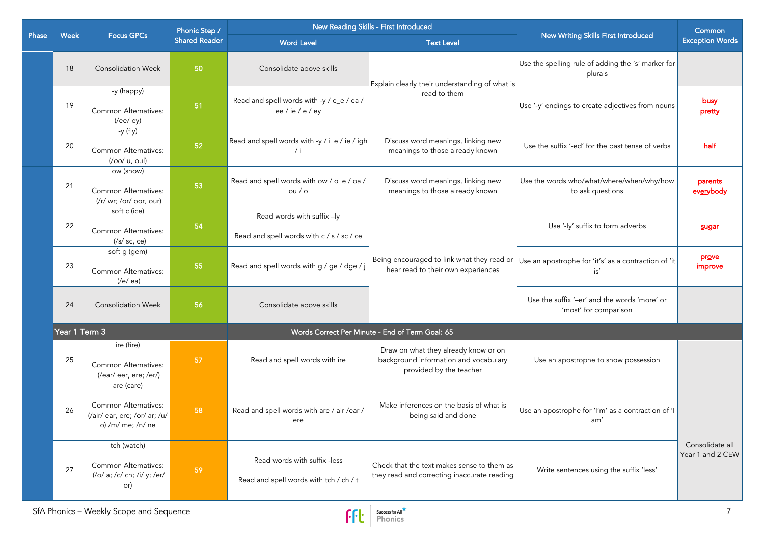|              |               | <b>Focus GPCs</b>                                                                        | Phonic Step /        | New Reading Skills - First Introduced                                   |                                                                                                          | New Writing Skills First Introduced                                   | Common                              |
|--------------|---------------|------------------------------------------------------------------------------------------|----------------------|-------------------------------------------------------------------------|----------------------------------------------------------------------------------------------------------|-----------------------------------------------------------------------|-------------------------------------|
| <b>Phase</b> | Week          |                                                                                          | <b>Shared Reader</b> | <b>Word Level</b>                                                       | <b>Text Level</b>                                                                                        |                                                                       | <b>Exception Words</b>              |
|              | 18            | <b>Consolidation Week</b>                                                                | 50                   | Consolidate above skills                                                | Explain clearly their understanding of what is                                                           | Use the spelling rule of adding the 's' marker for<br>plurals         |                                     |
|              | 19            | -y (happy)<br>Common Alternatives:<br>$($ /ee $/$ ey $)$                                 | 51                   | Read and spell words with -y / e_e / ea /<br>ee / ie / e / ey           | read to them                                                                                             | Use '-y' endings to create adjectives from nouns                      | busy<br>pretty                      |
|              | 20            | -y (fly)<br>Common Alternatives:<br>(/oo/ u, oul)                                        | 52                   | Read and spell words with -y / i_e / ie / igh<br>/ i                    | Discuss word meanings, linking new<br>meanings to those already known                                    | Use the suffix '-ed' for the past tense of verbs                      | half                                |
|              | 21            | ow (snow)<br>Common Alternatives:<br>(/r/ wr; /or/ oor, our)                             | 53                   | Read and spell words with ow / o_e / oa /<br>$ou$ / $o$                 | Discuss word meanings, linking new<br>meanings to those already known                                    | Use the words who/what/where/when/why/how<br>to ask questions         | parents<br>everybody                |
|              | 22            | soft c (ice)<br>Common Alternatives:<br>$(\sqrt{s}/sc, ce)$                              | 54                   | Read words with suffix -ly<br>Read and spell words with c / s / sc / ce |                                                                                                          | Use '-ly' suffix to form adverbs                                      | sugar                               |
|              | 23            | soft g (gem)<br>Common Alternatives:<br>(/e/ea)                                          | 55                   | Read and spell words with g / ge / dge / j                              | Being encouraged to link what they read or<br>hear read to their own experiences                         | Use an apostrophe for 'it's' as a contraction of 'it<br>is'           | prove<br>improve                    |
|              | 24            | <b>Consolidation Week</b>                                                                | 56                   | Consolidate above skills                                                |                                                                                                          | Use the suffix '-er' and the words 'more' or<br>'most' for comparison |                                     |
|              | Year 1 Term 3 |                                                                                          |                      |                                                                         | Words Correct Per Minute - End of Term Goal: 65                                                          |                                                                       |                                     |
|              | 25            | ire (fire)<br>Common Alternatives:<br>(/ear/ eer, ere; /er/)                             | 57                   | Read and spell words with ire                                           | Draw on what they already know or on<br>background information and vocabulary<br>provided by the teacher | Use an apostrophe to show possession                                  |                                     |
|              | 26            | are (care)<br>Common Alternatives:<br>(/air/ ear, ere; /or/ ar; /u/<br>o) /m/ me; /n/ ne | 58                   | Read and spell words with are / air /ear /<br>ere                       | Make inferences on the basis of what is<br>being said and done                                           | Use an apostrophe for 'I'm' as a contraction of 'I<br>am'             |                                     |
|              | 27            | tch (watch)<br>Common Alternatives:<br>(/o/ a; /c/ ch; /i/ y; /er/<br>or)                | 59                   | Read words with suffix -less<br>Read and spell words with tch / ch / t  | Check that the text makes sense to them as<br>they read and correcting inaccurate reading                | Write sentences using the suffix 'less'                               | Consolidate all<br>Year 1 and 2 CEW |